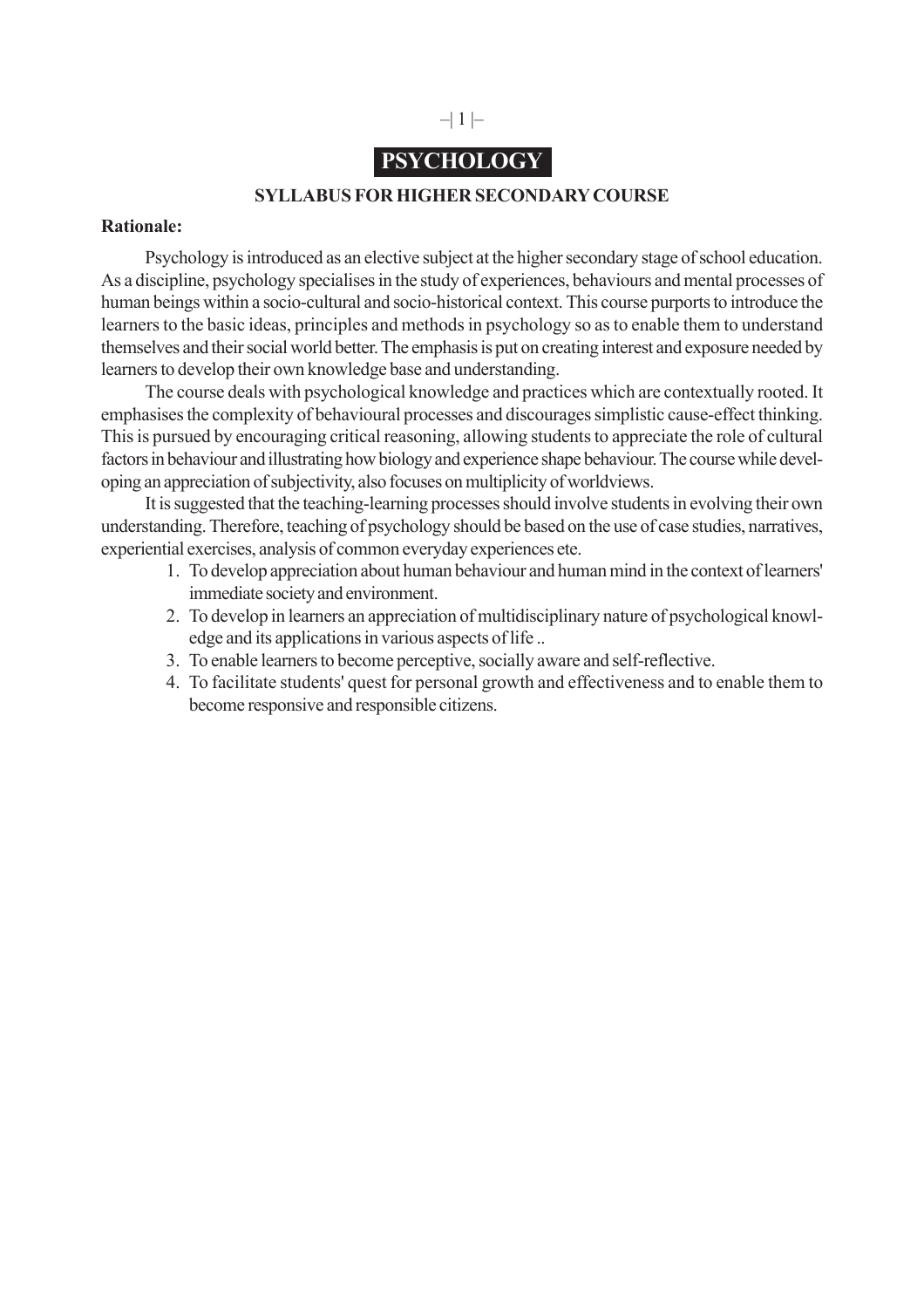# $-|1| -$

# **PSYCHOLOGY**

### **SYLLABUS FOR HIGHER SECONDARY COURSE**

#### **Rationale:**

Psychology is introduced as an elective subject at the higher secondary stage of school education. As a discipline, psychology specialises in the study of experiences, behaviours and mental processes of human beings within a socio-cultural and socio-historical context. This course purports to introduce the learners to the basic ideas, principles and methods in psychology so as to enable them to understand themselves and their social world better. The emphasis is put on creating interest and exposure needed by learners to develop their own knowledge base and understanding.

The course deals with psychological knowledge and practices which are contextually rooted. It emphasises the complexity of behavioural processes and discourages simplistic cause-effect thinking. This is pursued by encouraging critical reasoning, allowing students to appreciate the role of cultural factors in behaviour and illustrating how biology and experience shape behaviour. The course while developing an appreciation of subjectivity, also focuses on multiplicity of worldviews.

It is suggested that the teaching-learning processes should involve students in evolving their own understanding. Therefore, teaching of psychology should be based on the use of case studies, narratives, experiential exercises, analysis of common everyday experiences ete.

- 1. To develop appreciation about human behaviour and human mind in the context of learners' immediate society and environment.
- 2. To develop in learners an appreciation of multidisciplinary nature of psychological knowledge and its applications in various aspects of life ..
- 3. To enable learners to become perceptive, socially aware and self-reflective.
- 4. To facilitate students' quest for personal growth and effectiveness and to enable them to become responsive and responsible citizens.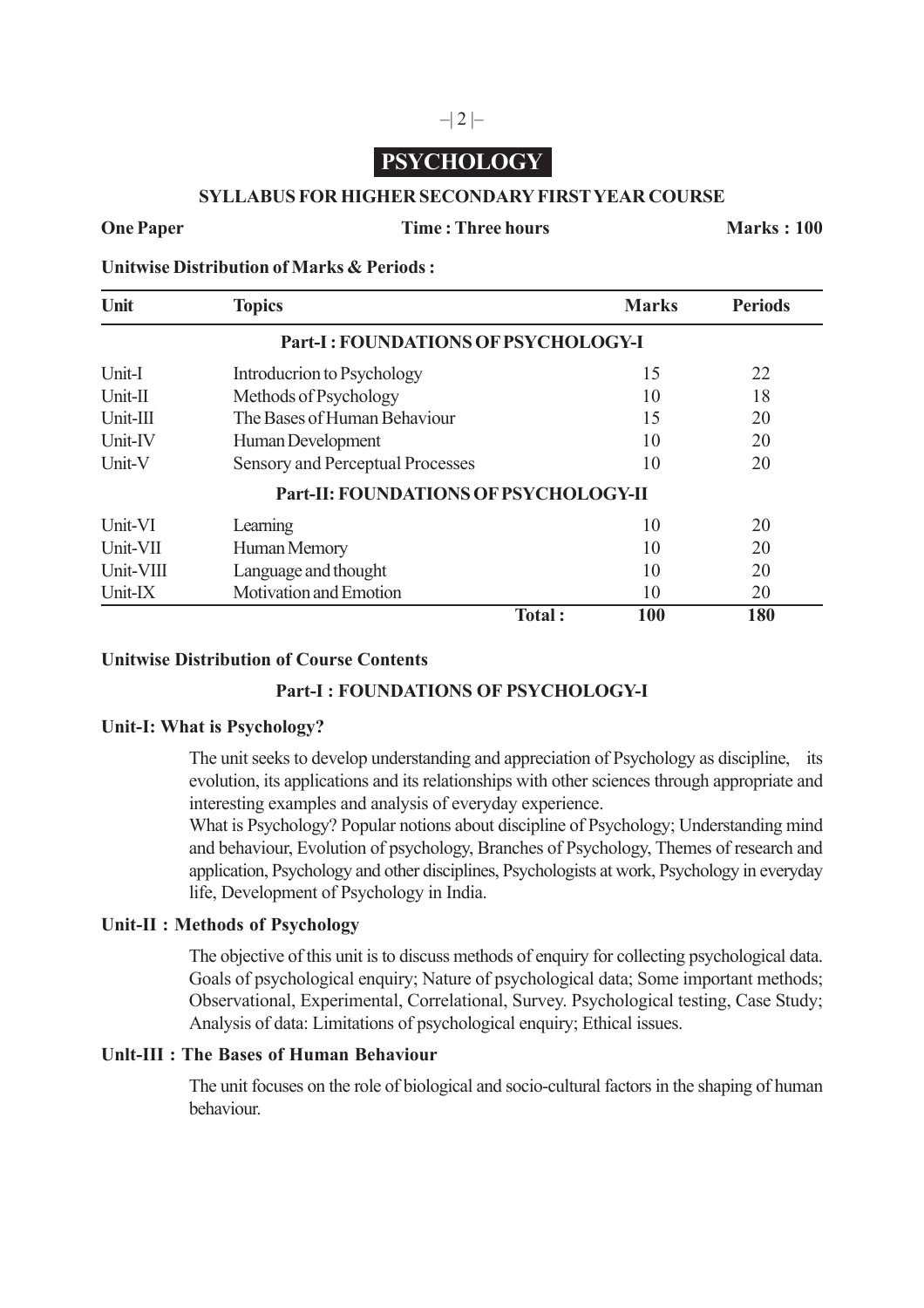# **PSYCHOLOGY**

### **SYLLABUS FOR HIGHER SECONDARY FIRST YEAR COURSE**

#### **One Paper Time : Three hours Marks : 100**

**Unitwise Distribution of Marks & Periods :**

| Unit       | <b>Topics</b>                         |        | <b>Marks</b> | <b>Periods</b> |
|------------|---------------------------------------|--------|--------------|----------------|
|            | Part-I: FOUNDATIONS OF PSYCHOLOGY-I   |        |              |                |
| Unit-I     | Introducrion to Psychology            |        | 15           | 22             |
| Unit-II    | Methods of Psychology                 |        | 10           | 18             |
| $Unit-III$ | The Bases of Human Behaviour          |        | 15           | 20             |
| Unit-IV    | Human Development                     |        | 10           | 20             |
| Unit-V     | Sensory and Perceptual Processes      |        | 10           | 20             |
|            | Part-II: FOUNDATIONS OF PSYCHOLOGY-II |        |              |                |
| Unit-VI    | Learning                              |        | 10           | 20             |
| Unit-VII   | Human Memory                          |        | 10           | 20             |
| Unit-VIII  | Language and thought                  |        | 10           | 20             |
| Unit-IX    | Motivation and Emotion                |        | 10           | 20             |
|            |                                       | Total: | 100          | 180            |

## **Unitwise Distribution of Course Contents**

### **Part-I : FOUNDATIONS OF PSYCHOLOGY-I**

### **Unit-I: What is Psychology?**

The unit seeks to develop understanding and appreciation of Psychology as discipline, its evolution, its applications and its relationships with other sciences through appropriate and interesting examples and analysis of everyday experience.

What is Psychology? Popular notions about discipline of Psychology; Understanding mind and behaviour, Evolution of psychology, Branches of Psychology, Themes of research and application, Psychology and other disciplines, Psychologists at work, Psychology in everyday life, Development of Psychology in India.

#### **Unit-II : Methods of Psychology**

The objective of this unit is to discuss methods of enquiry for collecting psychological data. Goals of psychological enquiry; Nature of psychological data; Some important methods; Observational, Experimental, Correlational, Survey. Psychological testing, Case Study; Analysis of data: Limitations of psychological enquiry; Ethical issues.

### **Unlt-III : The Bases of Human Behaviour**

The unit focuses on the role of biological and socio-cultural factors in the shaping of human behaviour.

## $-|2|$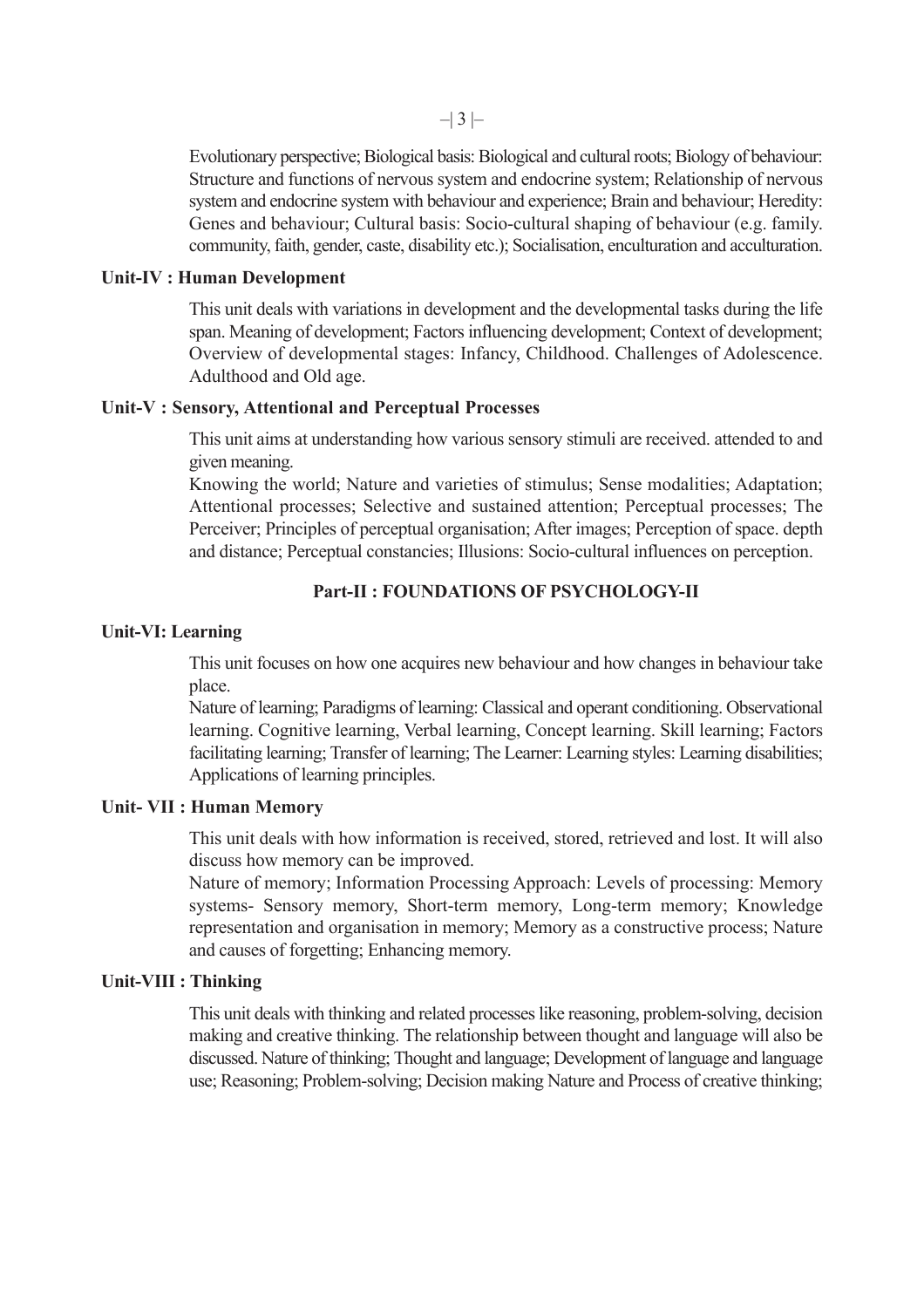Evolutionary perspective; Biological basis: Biological and cultural roots; Biology of behaviour: Structure and functions of nervous system and endocrine system; Relationship of nervous system and endocrine system with behaviour and experience; Brain and behaviour; Heredity: Genes and behaviour; Cultural basis: Socio-cultural shaping of behaviour (e.g. family. community, faith, gender, caste, disability etc.); Socialisation, enculturation and acculturation.

#### **Unit-IV : Human Development**

This unit deals with variations in development and the developmental tasks during the life span. Meaning of development; Factors influencing development; Context of development; Overview of developmental stages: Infancy, Childhood. Challenges of Adolescence. Adulthood and Old age.

#### **Unit-V : Sensory, Attentional and Perceptual Processes**

This unit aims at understanding how various sensory stimuli are received. attended to and given meaning.

Knowing the world; Nature and varieties of stimulus; Sense modalities; Adaptation; Attentional processes; Selective and sustained attention; Perceptual processes; The Perceiver; Principles of perceptual organisation; After images; Perception of space. depth and distance; Perceptual constancies; Illusions: Socio-cultural influences on perception.

# **Part-II : FOUNDATIONS OF PSYCHOLOGY-II**

#### **Unit-VI: Learning**

This unit focuses on how one acquires new behaviour and how changes in behaviour take place.

Nature of learning; Paradigms of learning: Classical and operant conditioning. Observational learning. Cognitive learning, Verbal learning, Concept learning. Skill learning; Factors facilitating learning; Transfer of learning; The Learner: Learning styles: Learning disabilities; Applications of learning principles.

#### **Unit- VII : Human Memory**

This unit deals with how information is received, stored, retrieved and lost. It will also discuss how memory can be improved.

Nature of memory; Information Processing Approach: Levels of processing: Memory systems- Sensory memory, Short-term memory, Long-term memory; Knowledge representation and organisation in memory; Memory as a constructive process; Nature and causes of forgetting; Enhancing memory.

### **Unit-VIII : Thinking**

This unit deals with thinking and related processes like reasoning, problem-solving, decision making and creative thinking. The relationship between thought and language will also be discussed. Nature of thinking; Thought and language; Development of language and language use; Reasoning; Problem-solving; Decision making Nature and Process of creative thinking;